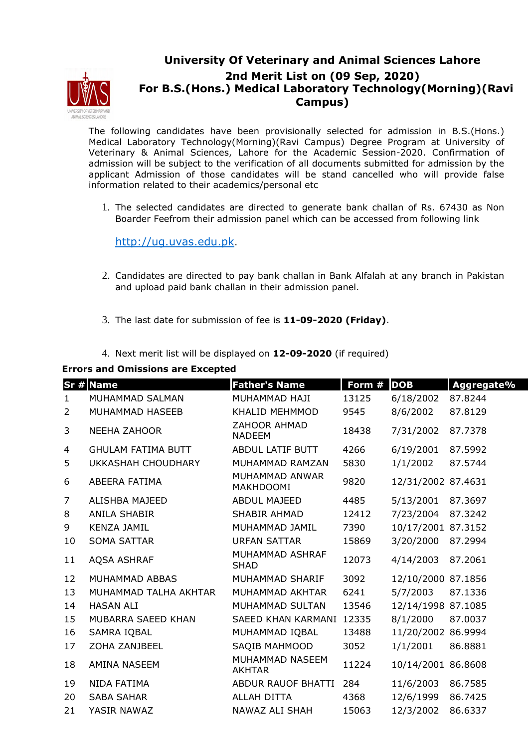

## **University Of Veterinary and Animal Sciences Lahore 2nd Merit List on (09 Sep, 2020) For B.S.(Hons.) Medical Laboratory Technology(Morning)(Ravi Campus)**

The following candidates have been provisionally selected for admission in B.S.(Hons.) Medical Laboratory Technology(Morning)(Ravi Campus) Degree Program at University of Veterinary & Animal Sciences, Lahore for the Academic Session-2020. Confirmation of admission will be subject to the verification of all documents submitted for admission by the applicant Admission of those candidates will be stand cancelled who will provide false information related to their academics/personal etc

1. The selected candidates are directed to generate bank challan of Rs. 67430 as Non Boarder Feefrom their admission panel which can be accessed from following link

http://ug.uvas.edu.pk.

- 2. Candidates are directed to pay bank challan in Bank Alfalah at any branch in Pakistan and upload paid bank challan in their admission panel.
- 3. The last date for submission of fee is **11-09-2020 (Friday)**.
- 4. Next merit list will be displayed on **12-09-2020** (if required)

## **Errors and Omissions are Excepted**

|                | Sr # Name                 | <b>Father's Name</b>                 | Form # | <b>DOB</b>         | Aggregate% |
|----------------|---------------------------|--------------------------------------|--------|--------------------|------------|
| 1              | MUHAMMAD SALMAN           | MUHAMMAD HAJI                        | 13125  | 6/18/2002          | 87.8244    |
| $\overline{2}$ | MUHAMMAD HASEEB           | KHALID MEHMMOD                       | 9545   | 8/6/2002           | 87.8129    |
| 3              | <b>NEEHA ZAHOOR</b>       | <b>ZAHOOR AHMAD</b><br><b>NADEEM</b> | 18438  | 7/31/2002          | 87.7378    |
| 4              | <b>GHULAM FATIMA BUTT</b> | <b>ABDUL LATIF BUTT</b>              | 4266   | 6/19/2001          | 87.5992    |
| 5              | UKKASHAH CHOUDHARY        | MUHAMMAD RAMZAN                      | 5830   | 1/1/2002           | 87.5744    |
| 6              | ABEERA FATIMA             | MUHAMMAD ANWAR<br>MAKHDOOMI          | 9820   | 12/31/2002 87.4631 |            |
| 7              | ALISHBA MAJEED            | <b>ABDUL MAJEED</b>                  | 4485   | 5/13/2001          | 87.3697    |
| 8              | <b>ANILA SHABIR</b>       | <b>SHABIR AHMAD</b>                  | 12412  | 7/23/2004          | 87.3242    |
| 9              | <b>KENZA JAMIL</b>        | MUHAMMAD JAMIL                       | 7390   | 10/17/2001 87.3152 |            |
| 10             | <b>SOMA SATTAR</b>        | <b>URFAN SATTAR</b>                  | 15869  | 3/20/2000          | 87.2994    |
| 11             | AQSA ASHRAF               | MUHAMMAD ASHRAF<br><b>SHAD</b>       | 12073  | 4/14/2003          | 87.2061    |
| 12             | MUHAMMAD ABBAS            | <b>MUHAMMAD SHARIF</b>               | 3092   | 12/10/2000 87.1856 |            |
| 13             | MUHAMMAD TALHA AKHTAR     | MUHAMMAD AKHTAR                      | 6241   | 5/7/2003           | 87.1336    |
| 14             | <b>HASAN ALI</b>          | MUHAMMAD SULTAN                      | 13546  | 12/14/1998 87.1085 |            |
| 15             | MUBARRA SAEED KHAN        | <b>SAEED KHAN KARMANI</b>            | 12335  | 8/1/2000           | 87.0037    |
| 16             | SAMRA IQBAL               | MUHAMMAD IQBAL                       | 13488  | 11/20/2002 86.9994 |            |
| 17             | ZOHA ZANJBEEL             | SAQIB MAHMOOD                        | 3052   | 1/1/2001           | 86.8881    |
| 18             | AMINA NASEEM              | MUHAMMAD NASEEM<br><b>AKHTAR</b>     | 11224  | 10/14/2001 86.8608 |            |
| 19             | NIDA FATIMA               | ABDUR RAUOF BHATTI                   | 284    | 11/6/2003          | 86.7585    |
| 20             | <b>SABA SAHAR</b>         | <b>ALLAH DITTA</b>                   | 4368   | 12/6/1999          | 86.7425    |
| 21             | YASIR NAWAZ               | NAWAZ ALI SHAH                       | 15063  | 12/3/2002          | 86.6337    |
|                |                           |                                      |        |                    |            |